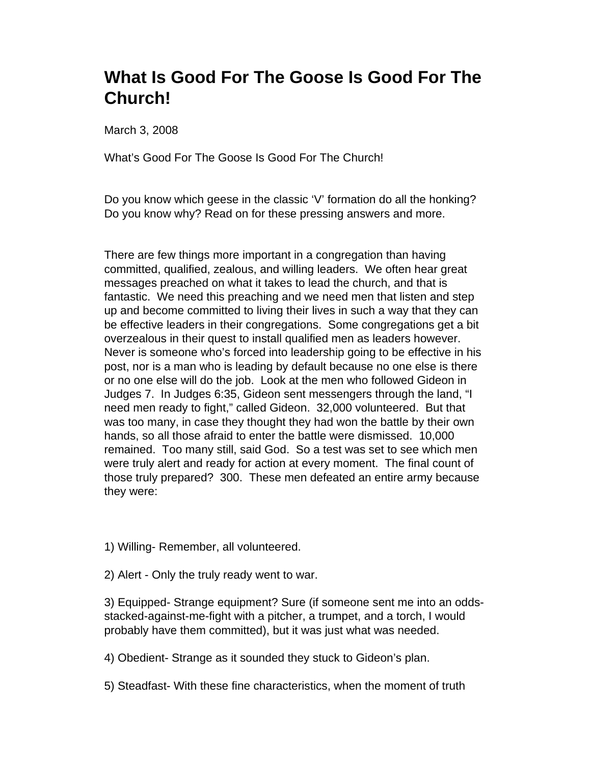## **What Is Good For The Goose Is Good For The Church!**

March 3, 2008

What's Good For The Goose Is Good For The Church!

Do you know which geese in the classic 'V' formation do all the honking? Do you know why? Read on for these pressing answers and more.

There are few things more important in a congregation than having committed, qualified, zealous, and willing leaders. We often hear great messages preached on what it takes to lead the church, and that is fantastic. We need this preaching and we need men that listen and step up and become committed to living their lives in such a way that they can be effective leaders in their congregations. Some congregations get a bit overzealous in their quest to install qualified men as leaders however. Never is someone who's forced into leadership going to be effective in his post, nor is a man who is leading by default because no one else is there or no one else will do the job. Look at the men who followed Gideon in Judges 7. In Judges 6:35, Gideon sent messengers through the land, "I need men ready to fight," called Gideon. 32,000 volunteered. But that was too many, in case they thought they had won the battle by their own hands, so all those afraid to enter the battle were dismissed. 10,000 remained. Too many still, said God. So a test was set to see which men were truly alert and ready for action at every moment. The final count of those truly prepared? 300. These men defeated an entire army because they were:

- 1) Willing- Remember, all volunteered.
- 2) Alert Only the truly ready went to war.

3) Equipped- Strange equipment? Sure (if someone sent me into an oddsstacked-against-me-fight with a pitcher, a trumpet, and a torch, I would probably have them committed), but it was just what was needed.

4) Obedient- Strange as it sounded they stuck to Gideon's plan.

5) Steadfast- With these fine characteristics, when the moment of truth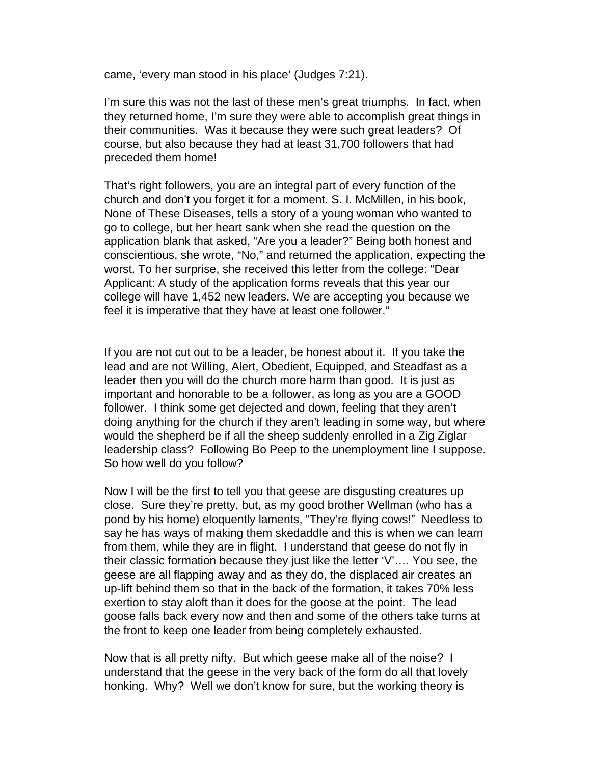came, 'every man stood in his place' (Judges 7:21).

I'm sure this was not the last of these men's great triumphs. In fact, when they returned home, I'm sure they were able to accomplish great things in their communities. Was it because they were such great leaders? Of course, but also because they had at least 31,700 followers that had preceded them home!

That's right followers, you are an integral part of every function of the church and don't you forget it for a moment. S. I. McMillen, in his book, None of These Diseases, tells a story of a young woman who wanted to go to college, but her heart sank when she read the question on the application blank that asked, "Are you a leader?" Being both honest and conscientious, she wrote, "No," and returned the application, expecting the worst. To her surprise, she received this letter from the college: "Dear Applicant: A study of the application forms reveals that this year our college will have 1,452 new leaders. We are accepting you because we feel it is imperative that they have at least one follower."

If you are not cut out to be a leader, be honest about it. If you take the lead and are not Willing, Alert, Obedient, Equipped, and Steadfast as a leader then you will do the church more harm than good. It is just as important and honorable to be a follower, as long as you are a GOOD follower. I think some get dejected and down, feeling that they aren't doing anything for the church if they aren't leading in some way, but where would the shepherd be if all the sheep suddenly enrolled in a Zig Ziglar leadership class? Following Bo Peep to the unemployment line I suppose. So how well do you follow?

Now I will be the first to tell you that geese are disgusting creatures up close. Sure they're pretty, but, as my good brother Wellman (who has a pond by his home) eloquently laments, "They're flying cows!" Needless to say he has ways of making them skedaddle and this is when we can learn from them, while they are in flight. I understand that geese do not fly in their classic formation because they just like the letter 'V'…. You see, the geese are all flapping away and as they do, the displaced air creates an up-lift behind them so that in the back of the formation, it takes 70% less exertion to stay aloft than it does for the goose at the point. The lead goose falls back every now and then and some of the others take turns at the front to keep one leader from being completely exhausted.

Now that is all pretty nifty. But which geese make all of the noise? I understand that the geese in the very back of the form do all that lovely honking. Why? Well we don't know for sure, but the working theory is